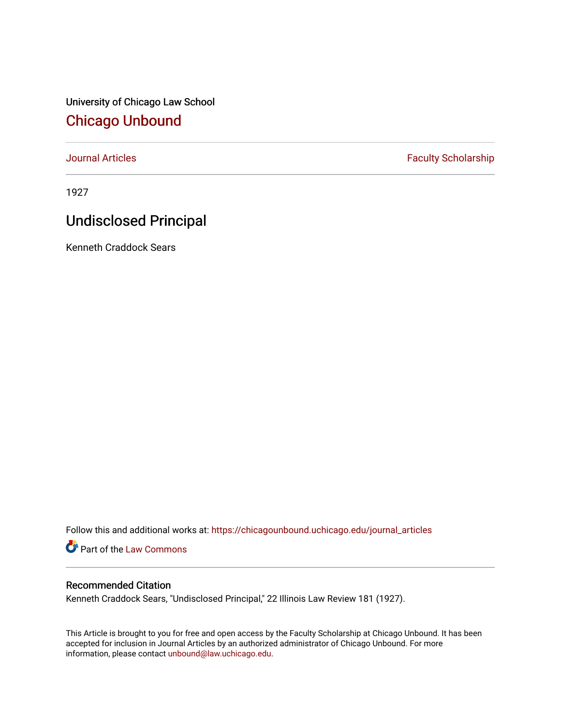University of Chicago Law School [Chicago Unbound](https://chicagounbound.uchicago.edu/)

[Journal Articles](https://chicagounbound.uchicago.edu/journal_articles) **Faculty Scholarship Faculty Scholarship** 

1927

## Undisclosed Principal

Kenneth Craddock Sears

Follow this and additional works at: [https://chicagounbound.uchicago.edu/journal\\_articles](https://chicagounbound.uchicago.edu/journal_articles?utm_source=chicagounbound.uchicago.edu%2Fjournal_articles%2F9568&utm_medium=PDF&utm_campaign=PDFCoverPages) 

Part of the [Law Commons](http://network.bepress.com/hgg/discipline/578?utm_source=chicagounbound.uchicago.edu%2Fjournal_articles%2F9568&utm_medium=PDF&utm_campaign=PDFCoverPages)

## Recommended Citation

Kenneth Craddock Sears, "Undisclosed Principal," 22 Illinois Law Review 181 (1927).

This Article is brought to you for free and open access by the Faculty Scholarship at Chicago Unbound. It has been accepted for inclusion in Journal Articles by an authorized administrator of Chicago Unbound. For more information, please contact [unbound@law.uchicago.edu](mailto:unbound@law.uchicago.edu).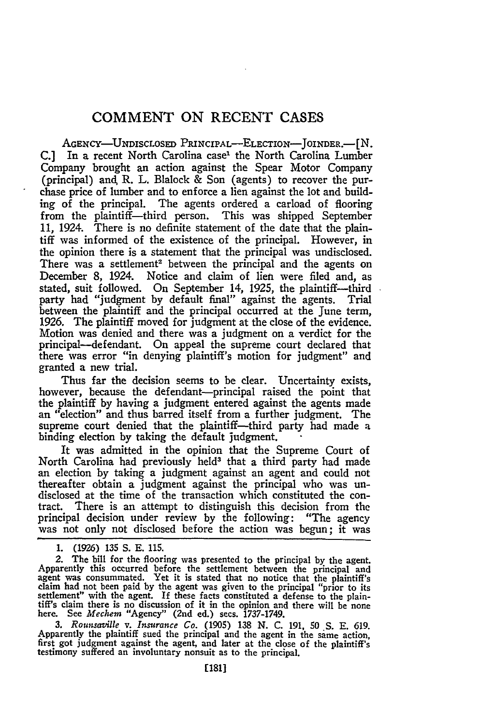## **COMMENT ON RECENT CASES**

AGENCY-UNDISCLOSED PRINCIPAL-ELECTION-JOINDER.- [N. C.] In a recent North Carolina case<sup>1</sup> the North Carolina Lumber Company brought an action against the Spear Motor Company (principal) and R. L. Blalock & Son (agents) to recover the purchase price of lumber and to enforce a lien against the lot and building of the principal. The agents ordered a carload of flooring from the plaintiff-third person. This was shipped September 11, 1924. There is no definite statement of the date that the plaintiff was informed of the existence of the principal. However, in the opinion there is a statement that the principal was undisclosed. There was a settlement<sup>2</sup> between the principal and the agents on December 8, 1924. Notice and claim of lien were filed and, as stated, suit followed. On September 14, 1925, the plaintiff---third party had "judgment by default final" against the agents. Trial between the plaintiff and the principal occurred at the June term, 1926. The plaintiff moved for judgment at the close of the evidence. Motion was denied and there was a judgment on a verdict for the principal-defendant. On appeal the supreme court declared that there was error "in denying plaintiff's motion for judgment" and granted a new trial.

Thus far the decision seems to be clear. Uncertainty exists, however, because the defendant--principal raised the point that the plaintiff by having a judgment entered against the agents made an "election" and thus barred itself from a further judgment. The supreme court denied that the plaintiff-third party had made a binding election by taking the default judgment.

It was admitted in the opinion that the Supreme Court of North Carolina had previously held<sup>3</sup> that a third party had made an election by taking a judgment against an agent and could not thereafter obtain a judgment against the principal who was undisclosed at the time of the transaction which constituted the contract. There is an attempt to distinguish this decision from the principal decision under review by the following: "The agency was not only not disclosed before the action was begun; it was

**1.** (1926) 135 S. E. 115.

2. The bill for the flooring was presented to the principal by the agent. Apparently this occurred before the settlement between the principal and agent was consummated. Yet it is stated that no notice that the plaintiff's claim had not been paid by the agent was given to the principal "prior to its<br>settlement" with the agent. If these facts constituted a defense to the plain-<br>tiff's claim there is no discussion of it in the opinion and ther

*3. Rounsaville v. Insurance Co.* (1905) **138** N. **C.** 191, 50 **S. E.** 619. Apparently the plaintiff sued the principal and the agent in the same action, first got judgment against the agent, and later at the close of the plaintiff's testimony suffered an involuntary nonsuit as to the principal.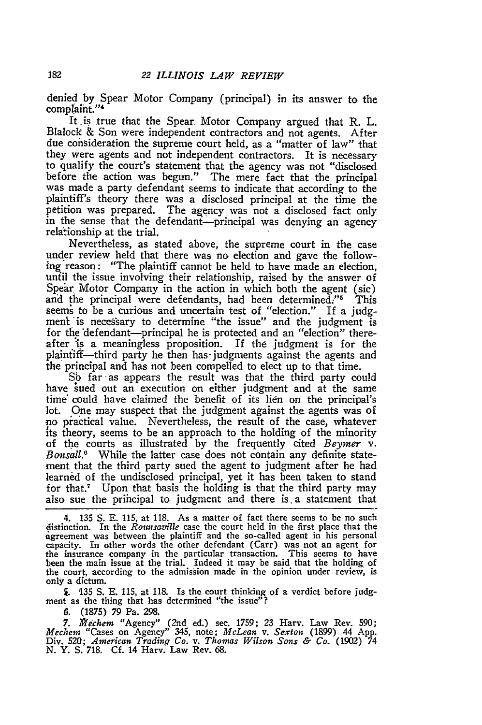denied by Spear Motor Company (principal) in its answer to the complaint."'

It is true that the Spear Motor Company argued that R. L. Blalock & Son were independent contractors and not agents. After due consideration the supreme court held, as a "matter of law" that they were agents and not independent contractors. It is necessary to qualify the court's statement that the agency was not "disclosed before the action was begun." The mere fact that the principal was made a party defendant seems to indicate that according to the plaintiff's theory there was a disclosed principal at the time the petition was prepared. The agency was not a disclosed fact only in the sense that the defendant-principal was denying an agency relationship at the trial.

Nevertheless, as stated above, the supreme court in the case under review held that there was no election and gave the following reason: "The plaintiff cannot be held to have made an election, until the issue involving their relationship, raised by the answer of Spear Motor Company in the action in which both the agent (sic) and the principal were defendants, had been determined."<sup>5</sup> This seems to be a curious and uncertain test of "election." If a judgment is necessary to determine "the issue" and the judgment is for the defendant-principal he is protected and an "election" thereafter **-is** a meaningless proposition. If the judgment is for the plaintiff—third party he then has-judgments against the agents and the principal and has not been compelled to elect up to that time.

So far as appears the result was that the third party could have sued out an execution on either judgment and at the same time' could have claimed the benefit of its lien on the principal's lot. One may suspect that the judgment against the agents was of no practical value. Nevertheless, the result of the case, whatever its theory, seems to be an approach to the holding of the minority of the courts as illustrated by the frequently cited Beymer *v. Bonsall.6* While the latter case does not contain any definite statement that the third party sued the agent to judgment after he had learned of the undisclosed principal, yet it has been taken to stand for that.<sup>7</sup> Upon that basis the holding is that the third party may also sue the prihcipal to judgment and there is. a statement that

4. 135 S. E. 115, at 118. As a matter of fact there seems to be no such distinction. In the *Rounsaville* case the court held in the first place that the agreement was between the plaintiff and the so-called agent in his personal capacity. In other words the other defendant (Carr) was not an a the insurance company in the particular transaction. This seems to have been the main issue at the trial. Indeed it may be said that the holding. of the court, according to the admission made in the opinion under review, is only a dictum.

**5.** '135 S. E. 115, at 118. Is the court thinking of a verdict before judgment as the thing that has determined "the issue"?

**6.** (1875) 79 Pa. 298.

*7. tfdchem* "Agency" (2nd ed.) sec. 1759; 23 Harv. Law Rev. 590; Mechem "Cases on Agency" 345, note; McLean v. Sexton (1899) 44 App.<br>Div. 520; American Trading Co. v. Thomas Wilson Sons & Co. (1902) 74<br>N. Y. S. 718. Cf. 14 Harv. Law Rev. 68.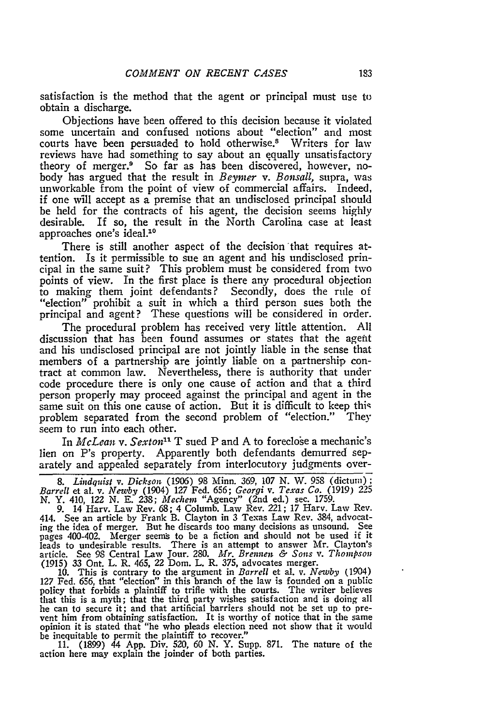satisfaction is the method that the agent or principal must use to obtain a discharge.

Objections have been offered to this decision because it violated some uncertain and confused notions about "election" and most courts have been persuaded to hold otherwise.<sup>8</sup> Writers for law reviews have had something to say about an equally unsatisfactory theory of merger.' So far as has been discovered, however, nobody has argued that the result in *Beymer v. Bonsall,* supra, was unworkable from the point of view of commercial affairs. Indeed, if one will accept as a premise that an undisclosed principal should be held for the contracts of his agent, the decision seems **highly** desirable. If so, the result in the North Carolina case at **least** approaches one's ideal.<sup>10</sup>

There is still another aspect of the decision that requires attention. Is it permissible to sue an agent and his undisclosed principal in the same suit? This problem must be considered from two points of view. In the first place is there any procedural objection to making them joint defendants? Secondly, does the rule of "election" prohibit a suit in which a third person sues both the principal and agent? These questions will **be** considered in order.

The procedural problem has received very little attention. **All** discussion that has been found assumes or states that the agent and his undisclosed principal are not jointly liable in the sense that members of a partnership are jointly liable on a partnership contract at common law. Nevertheless, there is authority that under code procedure there is only one cause of action and that a third person properly may proceed against the principal and agent in the same suit on this one cause of action. But it is difficult to keep this problem separated from the second problem of "election." They seem to run into each other.

In *McLean v. Sexton'1* T sued P and **A** to foreclose a mechanic's lien on P's property. Apparently both defendants demurred separately and appealed separately from interlocutory judgments over-

*8. Lindquist v. Dickson* **(1906) 98** Minn. **369,** *107* **N.** W. **958** (dictum); Barrell et al. v. Newby (1904) 127 Fed. 656; Georgi v. Texas Co. (1919) 225 N. Y. 410, 122 N. E. 238; Mechem "Agency" (2nd ed.) sec. 1759.<br>9. 14 Harv. Law Rev. 68; 4 Columb. Law Rev. 221; 17 Harv. Law Rev. 414. See an arti

ing the idea of merger. But he discards too many decisions as unsound. See pages 400-402. Merger seems to be a fiction and should not be used if it<br>leads to undesirable results. There is an attempt to answer Mr. Clayton's<br>article. See 98 Central Law Jour. 280. Mr. Brennen & Sons v. Thompson **(1915) 33** Ont. L. R. 465, 22 Dom. L. R. **375,** advocates merger. **10.** This is contrary to the argument in *Barrel* et al. v. *Newby* (1904)

**127** Fed. **656,** that "election" in this branch of the law is founded on a public policy that forbids a plaintiff to trifle with the courts. The writer believes that this is a myth; that the third party wishes satisfaction and is doing all he can **tO** secure it; and that artificial barriers should not be set up to prevent him from obtaining satisfaction. It is worthy of notice that in the same opinion it is stated that "he who pleads election need not show that it would be inequitable to permit the plaintiff to recover." **11. (1899)** 44 **App.** Div. **520, 60 N.** Y. Supp. **871.** The nature of the

action here may explain the joinder of both parties.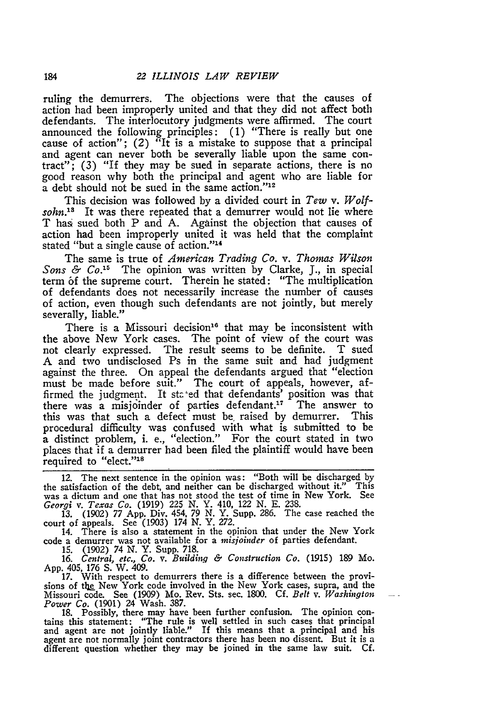ruling the demurrers. The objections were that the causes of action had been improperly united and that they did not affect both defendants. The interlocutory judgments were affirmed. The court announced the following principles: (1) "There is really but one cause of action"; (2) "It is a mistake to suppose that a principal and agent can never both be severally liable upon the same contract"; (3) "If they may be sued in separate actions, there is no good reason why both the principal and agent who are liable for a debt should not be sued in the same action."<sup>12</sup>

This decision was followed by a divided court in *Tew v. Wolfsohn.'3* It was there repeated that a demurrer would not lie where T has sued both P and A. Against the objection that causes of action had been improperly united it was held that the complain stated "but a single cause of action."<sup>1</sup>

The same is true of *American Trading Co. v. Thomas Wilson Sons & Co.*<sup>15</sup> The opinion was written by Clarke, J., in special term *bf* the supreme court. Therein he stated: "The multiplication of defendants does not necessarily increase the number of causes of action, even though such defendants are not jointly, but merely severally, liable."

There is a Missouri decision<sup>16</sup> that may be inconsistent with the above New York cases. The point of view of the court was not clearly expressed. The result seems to be definite. T sued A and two undisclosed Ps in the same suit and had judgment against the three. On appeal the defendants argued that "election must be made before suit." The court of appeals, however, affirmed the judgment. It stated that defendants' position was that there was a misjoinder of parties defendant.<sup>17</sup> The answer to this was that such a defect must be, raised by demurrer. This procedural difficulty was confused with what is submitted to be a distinct problem, i. e., "election." For the court stated in two places that if a demurrer bad been filed the plaintiff would have been required to "elect."<sup>18</sup>

12. The next sentence in the opinion was: "Both will be discharged by the satisfaction of the debt, and neither can be discharged without it." This the satisfaction of the debt, and neither can be discharged without it." This was a dictum and one that has not stood the test of time in New York. See *Georgi v. Texas Co.* (1919) 225 N. Y. 410, 122 N. E. 238. 13. (1902) 77 App. Div. 454, 79 N. Y. Supp. 286. The case reached the

court of appeals. See (1903) 174 N. Y. 272.

14. There is also a statement in the opinion that under the New York code a demurrer was not available for a *misjoinder* of parties defendant.

15. (1902) 74 N. Y. Supp. 718. *16. Central, etc., Co. v. Building & Construction Co.* (1915) **189** Mo. **App.** 405, 176 S. W. 409. 17. With respect to demurrers there is a difference between the provi-

sions of tbe New York code involved in the New York cases, supra, and the Missouri code. See (1909) Mo. Rev. Sts. sec. 1800. Cf. *Belt v. Washington*

 $\overline{\phantom{a}}$ 

*Power Co.* (1901) 24 Wash. 387. 18. Possibly, there may have been further confusion. The opinion con- tains this statement: "The rule is well settled in such cases that principal and agent are not jointly liable." If this means that a principal and his agent are not normally joint contractors there has been no dissent. But it is a different question whether they may be joined in the same law suit. **Cf.**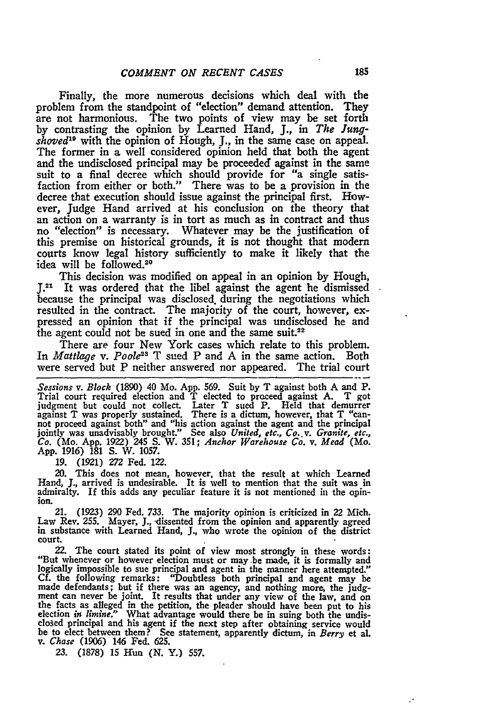Finally, the more numerous decisions which deal with the problem from the standpoint of "election" demand attention. They are not harmonious. The two points of view may be set forth by contrasting the opinion by Learned Hand, J., in *The Jungshoved"9* with the opinion of Hough, J., in the same case on appeal. The former in a well considered opinion held that both the agent and the undisclosed principal may be proceeded against in the same suit to a final decree which should provide for "a single satisfaction from either or both." There was to be a provision in the decree that execution should issue against the principal first. However, Judge Hand arrived at his conclusion on the theory that an action on a warranty is in tort as much as in contract and thus no "election" is necessary. Whatever may be the justification of this premise on historical grounds, it is not thought that modem courts know legal history sufficiently to make it likely that the idea will be followed.<sup>20</sup>

This decision was modified on appeal in an opinion by Hough, J.2 1 It was ordered that the libel against the agent he dismissed because the principal was disclosed, during the negotiations which resulted in the contract. The majority of the court, however, expressed an opinion that if the principal was undisclosed he and the agent could not be sued in one and the same suit.<sup>22</sup>

There are four New York cases which relate to this problem. In *Mattlage v. Poole23* T sued P and A in the same action. Both were served but P neither answered nor appeared. The trial court

Sessions v. Block (1890) 40 Mo. App. 569. Suit by T against both A and P Trial court required election and T elected to proceed against A. T got judgment but could not collect. Later T sued P. Held that demurrer against T was properly sustained. There is a dictum, however, that T "cannot proceed against both" and "his action against the agent and the principal jointly was unadvisably brought." See also *United, etc., Co..v.* Granite, etc., *Co.* (Mo. **App. 1922)** 245 **S.** W. **351;** *Anchor Warehouse Co. v. Mead* (Mo. **App. 1916)** 181 **S.** W. 1057.

**19. (1921)** *272* Fed. 122.

20. This does not mean, however, that the result at which Learned Hand, **J.,** arrived is undesirable. It is well to mention that the suit was in admiralty. If this adds any peculiar feature it is not mentioned in the opinion.

21. **(1923) 290** Fed. *733.* The majority opinion is criticized in 22 Mich. Law Rev. **255.** Mayer, **J.,** -dissented from the opinion and apparently agreed in substance with Learned Hand, **J.,** who wrote the opinion of the district court.

*22.* The court stated its point of view most strongly in these words: "But whenever or however election must or may be made, it is formally and logically impossible to sue principal and agent in the manner here attempted." **Cf.** the following remarks: "Doubtless both **principal** and agent may be made defendants; but if there was an agency, and nothing more, the judgment can never be joint. It results that under any view of the law, and on the facts as alleged in the petition, the pleader should have been put to his election *in limine."* What advantage would there be in suing both the undis-<br>closed principal and his agent if the next step after obtaining service would be to elect between them? See statement, apparently dictum, in *Berry* et al. *v. Chase* (1906) 146 Fed. **625.**

**23.** (1878) 15 **I-run (N.** Y.) **557.**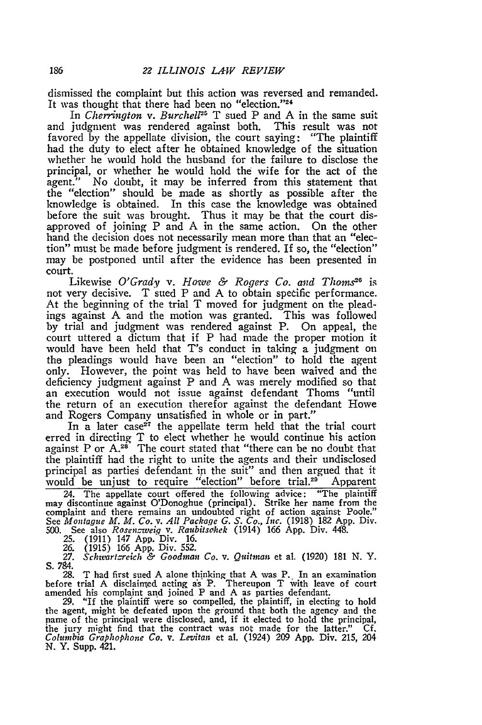dismissed the complaint but this action was reversed and remanded. It was thought that there had been no "election."<sup>24</sup>

In *Cherrington v. Burchell<sup>25</sup>* T sued P and A in the same suit and judgment was rendered against both. This result was not favored by the appellate division, the court saying: "The plaintiff had the duty to elect after he obtained knowledge of the situation whether he would hold the husband for the failure to disclose the principal, or whether he would hold the wife for the act of the agent." No doubt, it may be inferred from this statement that the "election" should be made as shortly as possible after the knowledge is obtained. In this case the knowledge was obtained before the suit was brought. Thus it may be that the court disapproved of joining P and A in the same action. On the other hand the decision does not necessarily mean more than that an "election" must be made before judgment is rendered. If so, the "election" may be postponed until after the evidence has been presented in court.

Likewise *O'Grady v. Howe & Rogers Co. and Thoms20* is not very decisive. T sued P and A to obtain specific performance. At the beginning of the trial T moved for judgment on the pleadings against A and the motion was granted. This was followed by trial and judgment was rendered against P. On appeal, the court uttered a dictum that if P had made the proper motion it would have been held that T's conduct in taking a judgment on the pleadings would have been an "election" to hold the agent only. However, the point was held to have been waived and the deficiency judgment against P and A was merely modified so that an execution would not issue against defendant Thoms "until the return of an execution therefor against the defendant Howe and Rogers Company unsatisfied in whole or in part."

In a later case<sup>27</sup> the appellate term held that the trial court erred in directing T to elect whether he would continue his action against P or A.<sup>28</sup> The court stated that "there can be no doubt that the plaintiff had the right to unite the agents and their undisclosed principal as partieg defendant in the suit" and then argued that it would be unjust to require "election" before trial.<sup>29</sup> Apparent

24. The appellate court offered the following advice: "The plaintiff may discontinue against O'Donoghue (principal). Strike her name from the<br>complaint and there remains an undoubted right of action against Poole."<br>See *Montague M. M. Co. v. All Package G. S. Co., Inc.* (1918) 182 App. Div.

25. (1911) 147 App. Div. 16.

*26.* (1915) 166 App. Div. 552.

**27.** *Schwartz-reich & Goodman Co. v.* Quitman et al. (1920) **181** N. Y. **S. 784.**

28. T had first sued A alone thinking that A was P. In an examination before trial A disclaimed acting as P. Thereupon T with leave of court amended his complaint and joined P and A as parties defendant.

29. "If the plaintiff were so compelled, the plaintiff, in electing to hold the agent, might be defeated upon the ground that both the agency and the name of the principal were disclosed, and, if it elected to hold the principal, the jury might find that the contract was not made for the latter." *Columbia Graphophone Co. v. Levitan* et al. (1924) 209 App. Div. 215, 204 N. Y. Supp. 421.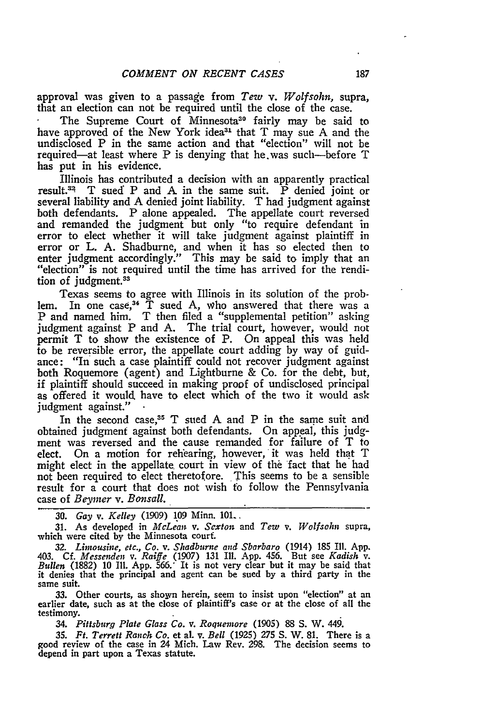approval was given to a passage from *Tew v. Wolfsohn,* supra, that an election can not be required until the close of the case.

The Supreme Court of Minnesota<sup>30</sup> fairly may be said to have approved of the New York idea<sup>31</sup> that  $T$  may sue  $A$  and the undisclosed P in the same action and that "election" will not be required-at least where P is denying that he was such-before T has put in his evidence.

Illinois has contributed a decision with an apparently practical result.<sup>32</sup> T sued P and A in the same suit. P denied joint or several liability and A denied joint liability. T had judgment against both defendants. P alone appealed. The appellate court reversed and remanded the judgment but only "to require defendant in error to elect whether it will take judgment against plaintiff in error or L. A. Shadburne, and when it has so elected then to enter judgment accordingly." This may be said to imply that an "election" is not required until the time has arrived for the rendi-"election" is not required until the time has arrived for the rendition of judgment.<sup>38</sup>

Texas seems to agree with Illinois in its solution of the problem. In one case,  $34$  T sued A, who answered that there was a P and named him. T then filed a "supplemental petition" asking judgment against P and A. The trial court, however, would not permit T to show the existence of P. On appeal this was held to be reversible error, the appellate court adding by way of guidance: "In such a case plaintiff could not recover judgment against both Roquemore (agent) and Lightburne & Co. for the debt, but, if plaintiff should succeed in making proof of undisclosed principal as offered it would have to elect which of the two it would ask judgment against."

In the second case,<sup>35</sup> T sued A and P in the same suit and obtained judgment against both defendants. On appeal, this judgment was reversed and the cause remanded for failure of T to elect. On a motion for rehearing, however, it was held that T might elect in the appellate court in view of the fact that he had not been required to elect theretofore. This seems to be a sensible result for a court that does not wish to follow the Pennsylvania case of *Beymer v. Bonsall.*

**30.** *Gay v. Kelley* (1909) **109** Minn. 101..

31. As developed in *McLean v. Sexton* and *Tew v. Wolfsohn* supra, which were cited by the Minnesota courf.

32. Limousine, etc., Co. v. Shadburne and Sbarbaro (1914) 185 Ill. App. 403. Cf. Messenden v. Raiffe (1907) 131 Ill. App. 456. But see Kadish v. Bullen (1882) 10 Ill. App. 566. It is not very clear but it may be said that it denies that the principal and agent can be sued by a third party in the same suit.

33. Other courts, as shoryn herein, seem to insist upon "election" at an earlier date, such as at the close of plaintiff's case or at the close of all the testimony.

*34. Pittsburgq Plate Glass Co. v. Roquemore* (1905) 88 **S.** W. 449.

*35. Ft. Terrett Ranch Co.* et al. v. *Bell* (1925) **275 S.** W. **81.** There is a good review of the case in 24 Mich. Law Rev. **298.** The decision seems to depend in part upon a Texas statute.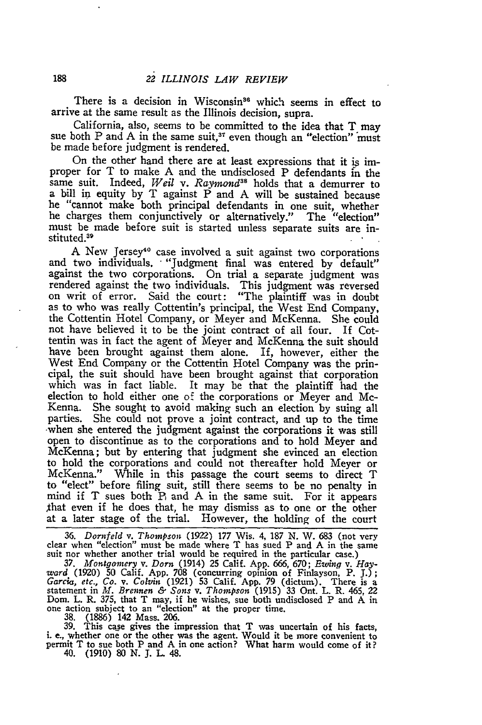There is a decision in Wisconsin<sup>36</sup> which seems in effect to arrive at the same result as the Illinois decision, supra.

California, also, seems to be committed to the idea that T may sue both P and A in the same suit,<sup>37</sup> even though an "election" must be made before judgment is rendered.

On the other' hand there are at least expressions that it **is** improper for T to make A and the undisclosed P defendants in the same suit. Indeed, *Weil v. Raymond*<sup>38</sup> holds that a demurrer to a bill in equity by T against P and A will be sustained because he "cannot make both principal defendants in one suit, whether he charges them conjunctively or alternatively." The "election" must be made before suit is started unless separate suits are instituted.<sup>39</sup>

A New Jersey'0 case involved a suit against two corporations and two individuals. "Judgment final was entered by default" against the two corporations. On trial a separate judgment was rendered against the two individuals. This judgment was reversed on writ of error. Said the court: "The plaintiff was in doubt as to who was really Cottentin's principal, the West End Company, the Cottentin Hotel Company, or Meyer and McKenna. She could not have believed it to be the joint contract of all four. If Cottentin was in fact the agent of Meyer and McKenna the suit should have been brought against them alone. If, however, either the West End Company or the Cottentin Hotel Company was the principal, the suit should have been brought against that corporation which was in fact liable. It may be that the plaintiff had the election to hold either one of the corporations or Meyer and Mc-Kenna. She sought to avoid making such an election by suing all parties. She could not prove a joint contract, and up to the time when she entered the judgment against the corporations it was still open to discontinue as to the corporations and to hold Meyer and McKenna; but by entering that judgment she evinced an election to hold the corporations and could not thereafter hold Meyer or McKenna." While in this passage the court seems to direct T to "elect" before filing suit, still there seems to be no penalty in mind if T sues both P and A in the same suit. For it appears that even if he does that, he may dismiss as to one or the other at a later stage of the trial. However, the holding of the court

36. Dornfeld v. Thompson (1922) 177 Wis. 4, 187 N. W. 683 (not very clear when "election" must be made where T has sued P and A in the same suit nor whether another trial would be required in the particular case.)

37. Montgomery v. Dorn (1914) 25 Calif. App. 666, 670; Ewing v. Hay-<br>ward (1920) 50 Calif. App. 708 (concurring opinion of Finlayson, P. J.);<br>Garcia, etc., Co. v. Colvin (1921) 53 Calif. App. 79 (dictum). There is a<br>statem

Dom. L. R. 375, that T may, if he wishes, sue both undisclosed P and A in<br>one action subject to an "election" at the proper time.<br>38. (1886) 142 Mass. 206.<br>39. This case gives the impression that T was uncertain of his fac 40. **(1910) 80 N. J.** L 48.